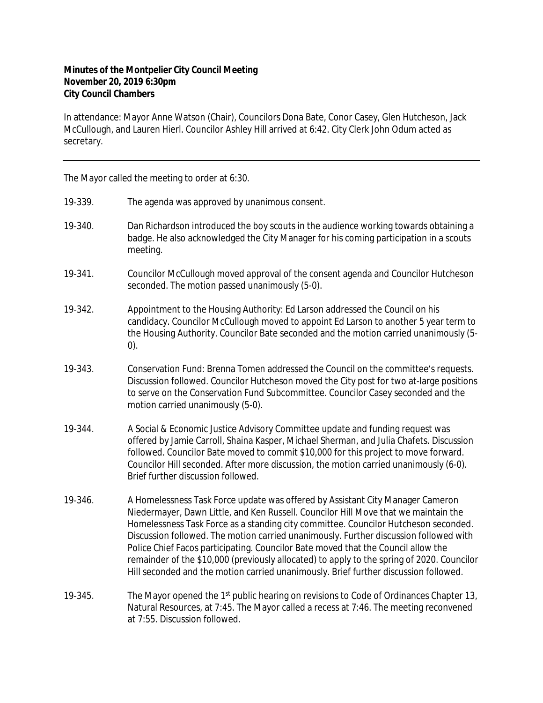## **Minutes of the Montpelier City Council Meeting November 20, 2019 6:30pm City Council Chambers**

In attendance: Mayor Anne Watson (Chair), Councilors Dona Bate, Conor Casey, Glen Hutcheson, Jack McCullough, and Lauren Hierl. Councilor Ashley Hill arrived at 6:42. City Clerk John Odum acted as secretary.

The Mayor called the meeting to order at 6:30.

- 19‐339. The agenda was approved by unanimous consent.
- 19-340. Dan Richardson introduced the boy scouts in the audience working towards obtaining a badge. He also acknowledged the City Manager for his coming participation in a scouts meeting.
- 19‐341. Councilor McCullough moved approval of the consent agenda and Councilor Hutcheson seconded. The motion passed unanimously (5-0).
- 19‐342. Appointment to the Housing Authority: Ed Larson addressed the Council on his candidacy. Councilor McCullough moved to appoint Ed Larson to another 5 year term to the Housing Authority. Councilor Bate seconded and the motion carried unanimously (5- 0).
- 19‐343. Conservation Fund: Brenna Tomen addressed the Council on the committee's requests. Discussion followed. Councilor Hutcheson moved the City post for two at-large positions to serve on the Conservation Fund Subcommittee. Councilor Casey seconded and the motion carried unanimously (5-0).
- 19‐344. A Social & Economic Justice Advisory Committee update and funding request was offered by Jamie Carroll, Shaina Kasper, Michael Sherman, and Julia Chafets. Discussion followed. Councilor Bate moved to commit \$10,000 for this project to move forward. Councilor Hill seconded. After more discussion, the motion carried unanimously (6-0). Brief further discussion followed.
- 19‐346. A Homelessness Task Force update was offered by Assistant City Manager Cameron Niedermayer, Dawn Little, and Ken Russell. Councilor Hill Move that we maintain the Homelessness Task Force as a standing city committee. Councilor Hutcheson seconded. Discussion followed. The motion carried unanimously. Further discussion followed with Police Chief Facos participating. Councilor Bate moved that the Council allow the remainder of the \$10,000 (previously allocated) to apply to the spring of 2020. Councilor Hill seconded and the motion carried unanimously. Brief further discussion followed.
- 19-345. The Mayor opened the 1<sup>st</sup> public hearing on revisions to Code of Ordinances Chapter 13, Natural Resources, at 7:45. The Mayor called a recess at 7:46. The meeting reconvened at 7:55. Discussion followed.